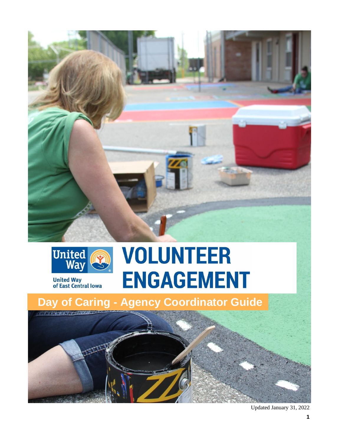



**United Way<br>of East Central Iowa** 

# **VOLUNTEER ENGAGEMENT**



Updated January 31, 2022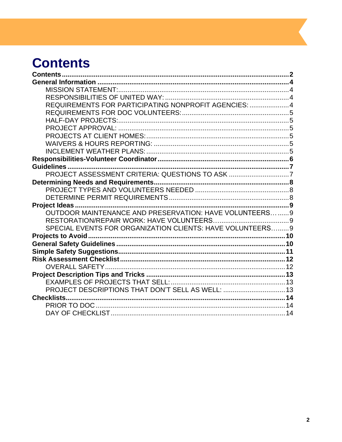### <span id="page-1-0"></span>**Contents**

| REQUIREMENTS FOR PARTICIPATING NONPROFIT AGENCIES: 4      |  |
|-----------------------------------------------------------|--|
|                                                           |  |
|                                                           |  |
|                                                           |  |
|                                                           |  |
|                                                           |  |
|                                                           |  |
|                                                           |  |
|                                                           |  |
| PROJECT ASSESSMENT CRITERIA: QUESTIONS TO ASK 7           |  |
|                                                           |  |
|                                                           |  |
|                                                           |  |
|                                                           |  |
| OUTDOOR MAINTENANCE AND PRESERVATION: HAVE VOLUNTEERS9    |  |
|                                                           |  |
| SPECIAL EVENTS FOR ORGANIZATION CLIENTS: HAVE VOLUNTEERS9 |  |
|                                                           |  |
|                                                           |  |
|                                                           |  |
|                                                           |  |
|                                                           |  |
|                                                           |  |
|                                                           |  |
| PROJECT DESCRIPTIONS THAT DON'T SELL AS WELL:  13         |  |
| Checklists                                                |  |
|                                                           |  |
|                                                           |  |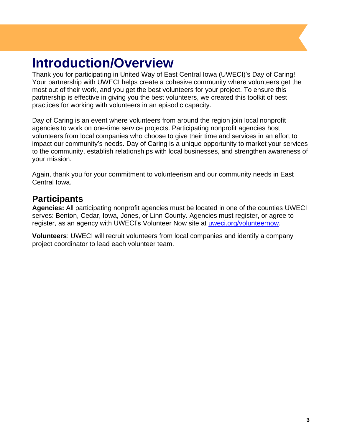### **Introduction/Overview**

Thank you for participating in United Way of East Central Iowa (UWECI)'s Day of Caring! Your partnership with UWECI helps create a cohesive community where volunteers get the most out of their work, and you get the best volunteers for your project. To ensure this partnership is effective in giving you the best volunteers, we created this toolkit of best practices for working with volunteers in an episodic capacity.

Day of Caring is an event where volunteers from around the region join local nonprofit agencies to work on one-time service projects. Participating nonprofit agencies host volunteers from local companies who choose to give their time and services in an effort to impact our community's needs. Day of Caring is a unique opportunity to market your services to the community, establish relationships with local businesses, and strengthen awareness of your mission.

Again, thank you for your commitment to volunteerism and our community needs in East Central Iowa.

#### **Participants**

**Agencies:** All participating nonprofit agencies must be located in one of the counties UWECI serves: Benton, Cedar, Iowa, Jones, or Linn County. Agencies must register, or agree to register, as an agency with UWECI's Volunteer Now site at [uweci.org/volunteernow.](http://www.uweci.org/volunteernow)

**Volunteers**: UWECI will recruit volunteers from local companies and identify a company project coordinator to lead each volunteer team.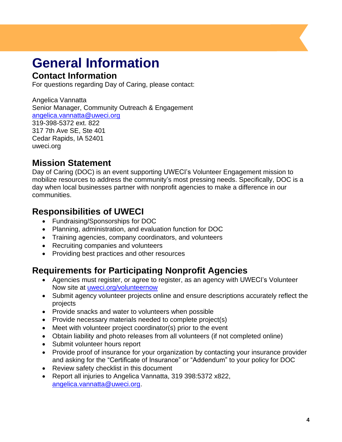# <span id="page-3-0"></span>**General Information**

#### **Contact Information**

For questions regarding Day of Caring, please contact:

Angelica Vannatta Senior Manager, Community Outreach & Engagement [angelica.vannatta@uweci.org](mailto:angelica.vannatta@uweci.org) 319-398-5372 ext. 822 317 7th Ave SE, Ste 401 Cedar Rapids, IA 52401 uweci.org

#### <span id="page-3-1"></span>**Mission Statement**

Day of Caring (DOC) is an event supporting UWECI's Volunteer Engagement mission to mobilize resources to address the community's most pressing needs. Specifically, DOC is a day when local businesses partner with nonprofit agencies to make a difference in our communities.

#### <span id="page-3-2"></span>**Responsibilities of UWECI**

- Fundraising/Sponsorships for DOC
- Planning, administration, and evaluation function for DOC
- Training agencies, company coordinators, and volunteers
- Recruiting companies and volunteers
- Providing best practices and other resources

#### <span id="page-3-3"></span>**Requirements for Participating Nonprofit Agencies**

- Agencies must register, or agree to register, as an agency with UWECI's Volunteer Now site at [uweci.org/volunteernow](http://www.uweci.org/volunteernow)
- Submit agency volunteer projects online and ensure descriptions accurately reflect the projects
- Provide snacks and water to volunteers when possible
- Provide necessary materials needed to complete project(s)
- Meet with volunteer project coordinator(s) prior to the event
- Obtain liability and photo releases from all volunteers (if not completed online)
- Submit volunteer hours report
- Provide proof of insurance for your organization by contacting your insurance provider and asking for the "Certificate of Insurance" or "Addendum" to your policy for DOC
- Review safety checklist in this document
- <span id="page-3-4"></span>• Report all injuries to Angelica Vannatta, 319 398:5372 x822, [angelica.vannatta@uweci.org.](mailto:angelica.vannatta@uweci.org)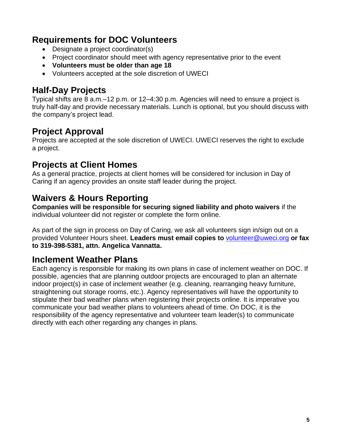#### **Requirements for DOC Volunteers**

- Designate a project coordinator(s)
- Project coordinator should meet with agency representative prior to the event
- **Volunteers must be older than age 18**
- Volunteers accepted at the sole discretion of UWECI

#### <span id="page-4-0"></span>**Half-Day Projects**

Typical shifts are 8 a.m.–12 p.m. or 12–4:30 p.m. Agencies will need to ensure a project is truly half-day and provide necessary materials. Lunch is optional, but you should discuss with the company's project lead.

#### <span id="page-4-1"></span>**Project Approval**

Projects are accepted at the sole discretion of UWECI. UWECI reserves the right to exclude a project.

#### <span id="page-4-2"></span>**Projects at Client Homes**

As a general practice, projects at client homes will be considered for inclusion in Day of Caring if an agency provides an onsite staff leader during the project.

#### <span id="page-4-3"></span>**Waivers & Hours Reporting**

**Companies will be responsible for securing signed liability and photo waivers** if the individual volunteer did not register or complete the form online.

As part of the sign in process on Day of Caring, we ask all volunteers sign in/sign out on a provided Volunteer Hours sheet. **Leaders must email copies to** [volunteer@uweci.org](mailto:volunteer@uweci.org) **or fax to 319-398-5381, attn. Angelica Vannatta.**

#### <span id="page-4-4"></span>**Inclement Weather Plans**

Each agency is responsible for making its own plans in case of inclement weather on DOC. If possible, agencies that are planning outdoor projects are encouraged to plan an alternate indoor project(s) in case of inclement weather (e.g. cleaning, rearranging heavy furniture, straightening out storage rooms, etc.). Agency representatives will have the opportunity to stipulate their bad weather plans when registering their projects online. It is imperative you communicate your bad weather plans to volunteers ahead of time. On DOC, it is the responsibility of the agency representative and volunteer team leader(s) to communicate directly with each other regarding any changes in plans.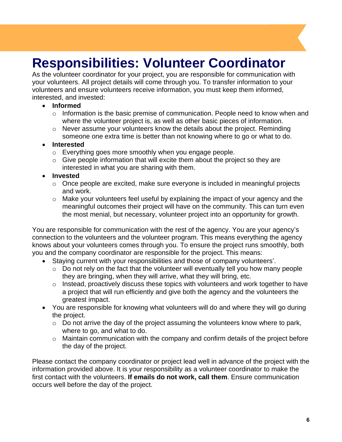### <span id="page-5-0"></span>**Responsibilities: Volunteer Coordinator**

As the volunteer coordinator for your project, you are responsible for communication with your volunteers. All project details will come through you. To transfer information to your volunteers and ensure volunteers receive information, you must keep them informed, interested, and invested:

#### • **Informed**

- $\circ$  Information is the basic premise of communication. People need to know when and where the volunteer project is, as well as other basic pieces of information.
- o Never assume your volunteers know the details about the project. Reminding someone one extra time is better than not knowing where to go or what to do.

#### • **Interested**

- o Everything goes more smoothly when you engage people.
- $\circ$  Give people information that will excite them about the project so they are interested in what you are sharing with them.

#### • **Invested**

- $\circ$  Once people are excited, make sure everyone is included in meaningful projects and work.
- $\circ$  Make your volunteers feel useful by explaining the impact of your agency and the meaningful outcomes their project will have on the community. This can turn even the most menial, but necessary, volunteer project into an opportunity for growth.

You are responsible for communication with the rest of the agency. You are your agency's connection to the volunteers and the volunteer program. This means everything the agency knows about your volunteers comes through you. To ensure the project runs smoothly, both you and the company coordinator are responsible for the project. This means:

- Staying current with your responsibilities and those of company volunteers'.
	- $\circ$  Do not rely on the fact that the volunteer will eventually tell you how many people they are bringing, when they will arrive, what they will bring, etc.
	- $\circ$  Instead, proactively discuss these topics with volunteers and work together to have a project that will run efficiently and give both the agency and the volunteers the greatest impact.
- You are responsible for knowing what volunteers will do and where they will go during the project.
	- $\circ$  Do not arrive the day of the project assuming the volunteers know where to park, where to go, and what to do.
	- o Maintain communication with the company and confirm details of the project before the day of the project.

Please contact the company coordinator or project lead well in advance of the project with the information provided above. It is your responsibility as a volunteer coordinator to make the first contact with the volunteers. **If emails do not work, call them**. Ensure communication occurs well before the day of the project.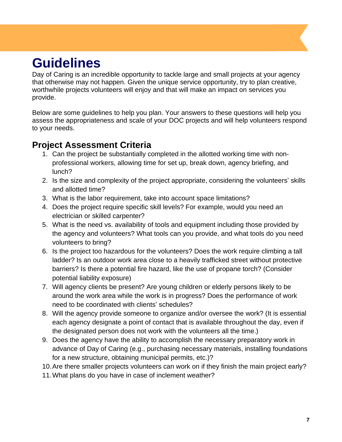### <span id="page-6-0"></span>**Guidelines**

Day of Caring is an incredible opportunity to tackle large and small projects at your agency that otherwise may not happen. Given the unique service opportunity, try to plan creative, worthwhile projects volunteers will enjoy and that will make an impact on services you provide.

Below are some guidelines to help you plan. Your answers to these questions will help you assess the appropriateness and scale of your DOC projects and will help volunteers respond to your needs.

#### <span id="page-6-1"></span>**Project Assessment Criteria**

- 1. Can the project be substantially completed in the allotted working time with nonprofessional workers, allowing time for set up, break down, agency briefing, and lunch?
- 2. Is the size and complexity of the project appropriate, considering the volunteers' skills and allotted time?
- 3. What is the labor requirement, take into account space limitations?
- 4. Does the project require specific skill levels? For example, would you need an electrician or skilled carpenter?
- 5. What is the need vs. availability of tools and equipment including those provided by the agency and volunteers? What tools can you provide, and what tools do you need volunteers to bring?
- 6. Is the project too hazardous for the volunteers? Does the work require climbing a tall ladder? Is an outdoor work area close to a heavily trafficked street without protective barriers? Is there a potential fire hazard, like the use of propane torch? (Consider potential liability exposure)
- 7. Will agency clients be present? Are young children or elderly persons likely to be around the work area while the work is in progress? Does the performance of work need to be coordinated with clients' schedules?
- 8. Will the agency provide someone to organize and/or oversee the work? (It is essential each agency designate a point of contact that is available throughout the day, even if the designated person does not work with the volunteers all the time.)
- 9. Does the agency have the ability to accomplish the necessary preparatory work in advance of Day of Caring (e.g., purchasing necessary materials, installing foundations for a new structure, obtaining municipal permits, etc.)?
- 10.Are there smaller projects volunteers can work on if they finish the main project early?
- 11.What plans do you have in case of inclement weather?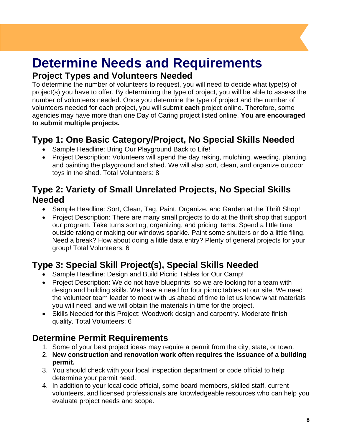### <span id="page-7-0"></span>**Determine Needs and Requirements**

#### **Project Types and Volunteers Needed**

To determine the number of volunteers to request, you will need to decide what type(s) of project(s) you have to offer. By determining the type of project, you will be able to assess the number of volunteers needed. Once you determine the type of project and the number of volunteers needed for each project, you will submit **each** project online. Therefore, some agencies may have more than one Day of Caring project listed online. **You are encouraged to submit multiple projects.**

### **Type 1: One Basic Category/Project, No Special Skills Needed**

- Sample Headline: Bring Our Playground Back to Life!
- Project Description: Volunteers will spend the day raking, mulching, weeding, planting, and painting the playground and shed. We will also sort, clean, and organize outdoor toys in the shed. Total Volunteers: 8

#### **Type 2: Variety of Small Unrelated Projects, No Special Skills Needed**

- Sample Headline: Sort, Clean, Tag, Paint, Organize, and Garden at the Thrift Shop!
- Project Description: There are many small projects to do at the thrift shop that support our program. Take turns sorting, organizing, and pricing items. Spend a little time outside raking or making our windows sparkle. Paint some shutters or do a little filing. Need a break? How about doing a little data entry? Plenty of general projects for your group! Total Volunteers: 6

### **Type 3: Special Skill Project(s), Special Skills Needed**

- Sample Headline: Design and Build Picnic Tables for Our Camp!
- Project Description: We do not have blueprints, so we are looking for a team with design and building skills. We have a need for four picnic tables at our site. We need the volunteer team leader to meet with us ahead of time to let us know what materials you will need, and we will obtain the materials in time for the project.
- Skills Needed for this Project: Woodwork design and carpentry. Moderate finish quality. Total Volunteers: 6

### <span id="page-7-1"></span>**Determine Permit Requirements**

- 1. Some of your best project ideas may require a permit from the city, state, or town.
- 2. **New construction and renovation work often requires the issuance of a building permit.**
- 3. You should check with your local inspection department or code official to help determine your permit need.
- 4. In addition to your local code official, some board members, skilled staff, current volunteers, and licensed professionals are knowledgeable resources who can help you evaluate project needs and scope.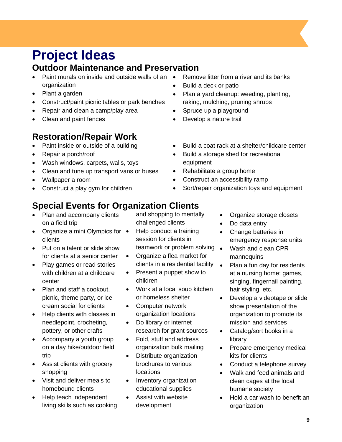### <span id="page-8-0"></span>**Project Ideas**

#### <span id="page-8-1"></span>**Outdoor Maintenance and Preservation**

- Paint murals on inside and outside walls of an  $\bullet$ organization
- Plant a garden
- Construct/paint picnic tables or park benches
- Repair and clean a camp/play area
- Clean and paint fences

#### <span id="page-8-2"></span>**Restoration/Repair Work**

- Paint inside or outside of a building
- Repair a porch/roof
- Wash windows, carpets, walls, toys
- Clean and tune up transport vans or buses
- Wallpaper a room
- Construct a play gym for children

### <span id="page-8-3"></span>**Special Events for Organization Clients**

- Plan and accompany clients on a field trip
- Organize a mini Olympics for clients
- Put on a talent or slide show for clients at a senior center
- Play games or read stories with children at a childcare center
- Plan and staff a cookout. picnic, theme party, or ice cream social for clients
- Help clients with classes in needlepoint, crocheting, pottery, or other crafts
- Accompany a youth group on a day hike/outdoor field trip
- Assist clients with grocery shopping
- Visit and deliver meals to homebound clients
- Help teach independent living skills such as cooking

and shopping to mentally challenged clients

- Help conduct a training session for clients in teamwork or problem solving •
- Organize a flea market for clients in a residential facility  $\bullet$
- Present a puppet show to children
- Work at a local soup kitchen or homeless shelter
- Computer network organization locations
- Do library or internet research for grant sources
- Fold, stuff and address organization bulk mailing
- Distribute organization brochures to various locations
- Inventory organization educational supplies
- Assist with website development
- Remove litter from a river and its banks
- Build a deck or patio
- Plan a yard cleanup: weeding, planting, raking, mulching, pruning shrubs
- Spruce up a playground
- Develop a nature trail
- Build a coat rack at a shelter/childcare center
- Build a storage shed for recreational equipment
- Rehabilitate a group home
- Construct an accessibility ramp
- Sort/repair organization toys and equipment
	- Organize storage closets
	- Do data entry
	- Change batteries in emergency response units
	- Wash and clean CPR mannequins
	- Plan a fun day for residents at a nursing home: games, singing, fingernail painting, hair styling, etc.
	- Develop a videotape or slide show presentation of the organization to promote its mission and services
	- Catalog/sort books in a library
	- Prepare emergency medical kits for clients
	- Conduct a telephone survey
	- Walk and feed animals and clean cages at the local humane society
	- Hold a car wash to benefit an organization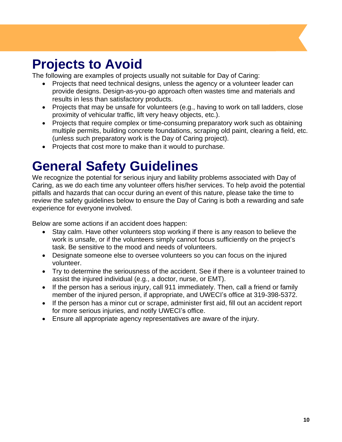### <span id="page-9-0"></span>**Projects to Avoid**

The following are examples of projects usually not suitable for Day of Caring:

- Projects that need technical designs, unless the agency or a volunteer leader can provide designs. Design-as-you-go approach often wastes time and materials and results in less than satisfactory products.
- Projects that may be unsafe for volunteers (e.g., having to work on tall ladders, close proximity of vehicular traffic, lift very heavy objects, etc.).
- Projects that require complex or time-consuming preparatory work such as obtaining multiple permits, building concrete foundations, scraping old paint, clearing a field, etc. (unless such preparatory work is the Day of Caring project).
- Projects that cost more to make than it would to purchase.

### <span id="page-9-1"></span>**General Safety Guidelines**

We recognize the potential for serious injury and liability problems associated with Day of Caring, as we do each time any volunteer offers his/her services. To help avoid the potential pitfalls and hazards that can occur during an event of this nature, please take the time to review the safety guidelines below to ensure the Day of Caring is both a rewarding and safe experience for everyone involved.

Below are some actions if an accident does happen:

- Stay calm. Have other volunteers stop working if there is any reason to believe the work is unsafe, or if the volunteers simply cannot focus sufficiently on the project's task. Be sensitive to the mood and needs of volunteers.
- Designate someone else to oversee volunteers so you can focus on the injured volunteer.
- Try to determine the seriousness of the accident. See if there is a volunteer trained to assist the injured individual (e.g., a doctor, nurse, or EMT).
- If the person has a serious injury, call 911 immediately. Then, call a friend or family member of the injured person, if appropriate, and UWECI's office at 319-398-5372.
- If the person has a minor cut or scrape, administer first aid, fill out an accident report for more serious injuries, and notify UWECI's office.
- Ensure all appropriate agency representatives are aware of the injury.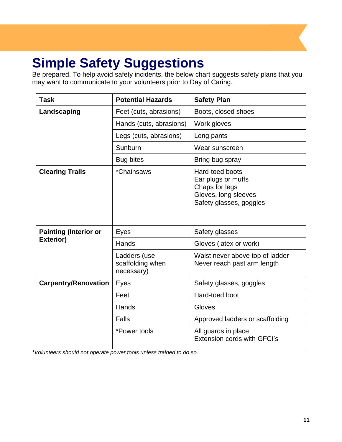## <span id="page-10-0"></span>**Simple Safety Suggestions**

Be prepared. To help avoid safety incidents, the below chart suggests safety plans that you may want to communicate to your volunteers prior to Day of Caring.

| <b>Task</b>                                      | <b>Potential Hazards</b>                       | <b>Safety Plan</b>                                                                                                |
|--------------------------------------------------|------------------------------------------------|-------------------------------------------------------------------------------------------------------------------|
| Landscaping                                      | Feet (cuts, abrasions)                         | Boots, closed shoes                                                                                               |
|                                                  | Hands (cuts, abrasions)                        | Work gloves                                                                                                       |
|                                                  | Legs (cuts, abrasions)                         | Long pants                                                                                                        |
|                                                  | Sunburn                                        | Wear sunscreen                                                                                                    |
|                                                  | <b>Bug bites</b>                               | Bring bug spray                                                                                                   |
| <b>Clearing Trails</b>                           | <i>*Chainsaws</i>                              | <b>Hard-toed boots</b><br>Ear plugs or muffs<br>Chaps for legs<br>Gloves, long sleeves<br>Safety glasses, goggles |
| <b>Painting (Interior or</b><br><b>Exterior)</b> | Eyes                                           | Safety glasses                                                                                                    |
|                                                  | Hands                                          | Gloves (latex or work)                                                                                            |
|                                                  | Ladders (use<br>scaffolding when<br>necessary) | Waist never above top of ladder<br>Never reach past arm length                                                    |
| <b>Carpentry/Renovation</b>                      | Eyes                                           | Safety glasses, goggles                                                                                           |
|                                                  | Feet                                           | Hard-toed boot                                                                                                    |
|                                                  | Hands                                          | Gloves                                                                                                            |
|                                                  | <b>Falls</b>                                   | Approved ladders or scaffolding                                                                                   |
|                                                  | *Power tools                                   | All guards in place<br>Extension cords with GFCI's                                                                |

*\*Volunteers should not operate power tools unless trained to do so.*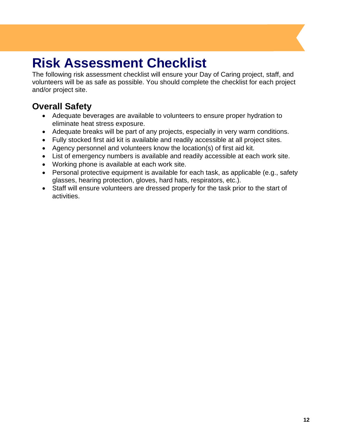### <span id="page-11-0"></span>**Risk Assessment Checklist**

The following risk assessment checklist will ensure your Day of Caring project, staff, and volunteers will be as safe as possible. You should complete the checklist for each project and/or project site.

### <span id="page-11-1"></span>**Overall Safety**

- Adequate beverages are available to volunteers to ensure proper hydration to eliminate heat stress exposure.
- Adequate breaks will be part of any projects, especially in very warm conditions.
- Fully stocked first aid kit is available and readily accessible at all project sites.
- Agency personnel and volunteers know the location(s) of first aid kit.
- List of emergency numbers is available and readily accessible at each work site.
- Working phone is available at each work site.
- Personal protective equipment is available for each task, as applicable (e.g., safety glasses, hearing protection, gloves, hard hats, respirators, etc.).
- Staff will ensure volunteers are dressed properly for the task prior to the start of activities.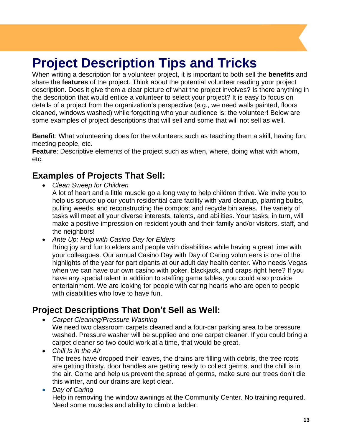### <span id="page-12-0"></span>**Project Description Tips and Tricks**

When writing a description for a volunteer project, it is important to both sell the **benefits** and share the **features** of the project. Think about the potential volunteer reading your project description. Does it give them a clear picture of what the project involves? Is there anything in the description that would entice a volunteer to select your project? It is easy to focus on details of a project from the organization's perspective (e.g., we need walls painted, floors cleaned, windows washed) while forgetting who your audience is: the volunteer! Below are some examples of project descriptions that will sell and some that will not sell as well.

**Benefit**: What volunteering does for the volunteers such as teaching them a skill, having fun, meeting people, etc.

**Feature**: Descriptive elements of the project such as when, where, doing what with whom, etc.

#### <span id="page-12-1"></span>**Examples of Projects That Sell:**

- *Clean Sweep for Children*
	- A lot of heart and a little muscle go a long way to help children thrive. We invite you to help us spruce up our youth residential care facility with yard cleanup, planting bulbs, pulling weeds, and reconstructing the compost and recycle bin areas. The variety of tasks will meet all your diverse interests, talents, and abilities. Your tasks, in turn, will make a positive impression on resident youth and their family and/or visitors, staff, and the neighbors!
- *Ante Up: Help with Casino Day for Elders*

Bring joy and fun to elders and people with disabilities while having a great time with your colleagues. Our annual Casino Day with Day of Caring volunteers is one of the highlights of the year for participants at our adult day health center. Who needs Vegas when we can have our own casino with poker, blackjack, and craps right here? If you have any special talent in addition to staffing game tables, you could also provide entertainment. We are looking for people with caring hearts who are open to people with disabilities who love to have fun.

#### <span id="page-12-2"></span>**Project Descriptions That Don't Sell as Well:**

- *Carpet Cleaning/Pressure Washing* We need two classroom carpets cleaned and a four-car parking area to be pressure washed. Pressure washer will be supplied and one carpet cleaner. If you could bring a carpet cleaner so two could work at a time, that would be great.
- *Chill Is in the Air* The trees have dropped their leaves, the drains are filling with debris, the tree roots are getting thirsty, door handles are getting ready to collect germs, and the chill is in the air. Come and help us prevent the spread of germs, make sure our trees don't die this winter, and our drains are kept clear.
- *Day of Caring*

Help in removing the window awnings at the Community Center. No training required. Need some muscles and ability to climb a ladder.